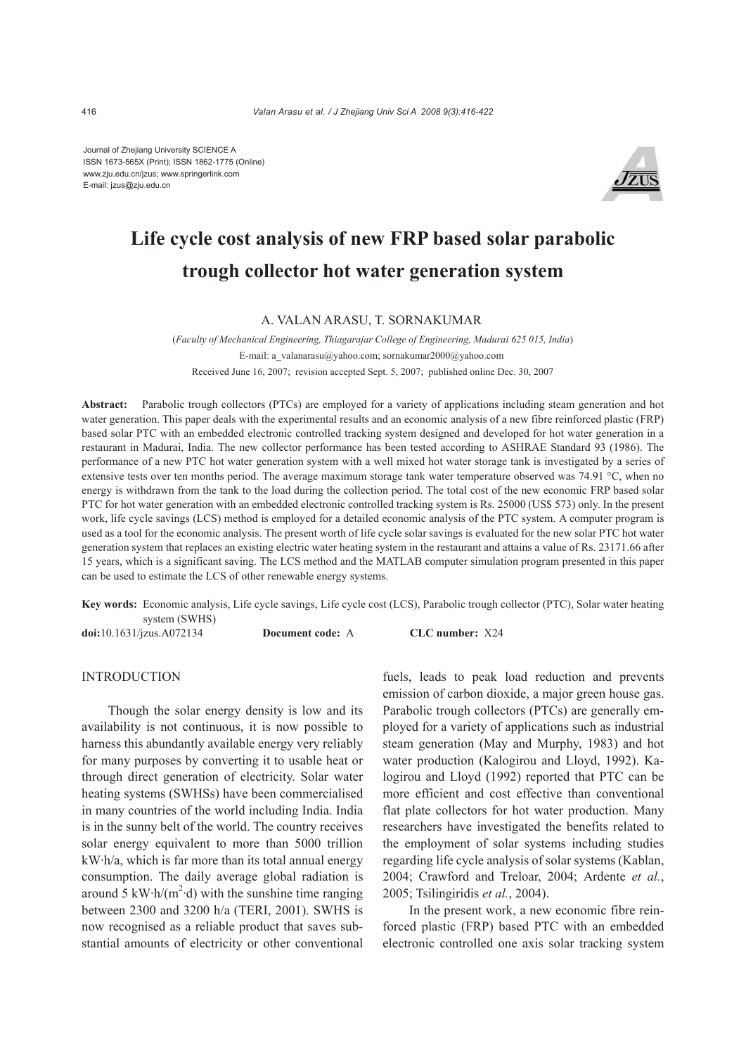Journal of Zhejiang University SCIENCE A ISSN 1673-565X (Print); ISSN 1862-1775 (Online) www.zju.edu.cn/jzus; www.springerlink.com E-mail: jzus@zju.edu.cn



# **Life cycle cost analysis of new FRP based solar parabolic trough collector hot water generation system**

## A. VALAN ARASU, T. SORNAKUMAR

(*Faculty of Mechanical Engineering, Thiagarajar College of Engineering, Madurai 625 015, India*) E-mail: a\_valanarasu@yahoo.com; sornakumar2000@yahoo.com Received June 16, 2007; revision accepted Sept. 5, 2007; published online Dec. 30, 2007

**Abstract:** Parabolic trough collectors (PTCs) are employed for a variety of applications including steam generation and hot water generation. This paper deals with the experimental results and an economic analysis of a new fibre reinforced plastic (FRP) based solar PTC with an embedded electronic controlled tracking system designed and developed for hot water generation in a restaurant in Madurai, India. The new collector performance has been tested according to ASHRAE Standard 93 (1986). The performance of a new PTC hot water generation system with a well mixed hot water storage tank is investigated by a series of extensive tests over ten months period. The average maximum storage tank water temperature observed was 74.91 °C, when no energy is withdrawn from the tank to the load during the collection period. The total cost of the new economic FRP based solar PTC for hot water generation with an embedded electronic controlled tracking system is Rs. 25000 (US\$ 573) only. In the present work, life cycle savings (LCS) method is employed for a detailed economic analysis of the PTC system. A computer program is used as a tool for the economic analysis. The present worth of life cycle solar savings is evaluated for the new solar PTC hot water generation system that replaces an existing electric water heating system in the restaurant and attains a value of Rs. 23171.66 after 15 years, which is a significant saving. The LCS method and the MATLAB computer simulation program presented in this paper can be used to estimate the LCS of other renewable energy systems.

**Key words:** Economic analysis, Life cycle savings, Life cycle cost (LCS), Parabolic trough collector (PTC), Solar water heating system (SWHS)

**doi:**10.1631/jzus.A072134 **Document code:** A **CLC number:** X24

## **INTRODUCTION**

Though the solar energy density is low and its availability is not continuous, it is now possible to harness this abundantly available energy very reliably for many purposes by converting it to usable heat or through direct generation of electricity. Solar water heating systems (SWHSs) have been commercialised in many countries of the world including India. India is in the sunny belt of the world. The country receives solar energy equivalent to more than 5000 trillion kW·h/a, which is far more than its total annual energy consumption. The daily average global radiation is around 5 kW $\cdot$ h/(m<sup>2</sup> $\cdot$ d) with the sunshine time ranging between 2300 and 3200 h/a (TERI, 2001). SWHS is now recognised as a reliable product that saves substantial amounts of electricity or other conventional

fuels, leads to peak load reduction and prevents emission of carbon dioxide, a major green house gas. Parabolic trough collectors (PTCs) are generally employed for a variety of applications such as industrial steam generation (May and Murphy, 1983) and hot water production (Kalogirou and Lloyd, 1992). Kalogirou and Lloyd (1992) reported that PTC can be more efficient and cost effective than conventional flat plate collectors for hot water production. Many researchers have investigated the benefits related to the employment of solar systems including studies regarding life cycle analysis of solar systems (Kablan, 2004; Crawford and Treloar, 2004; Ardente *et al.*, 2005; Tsilingiridis *et al.*, 2004).

In the present work, a new economic fibre reinforced plastic (FRP) based PTC with an embedded electronic controlled one axis solar tracking system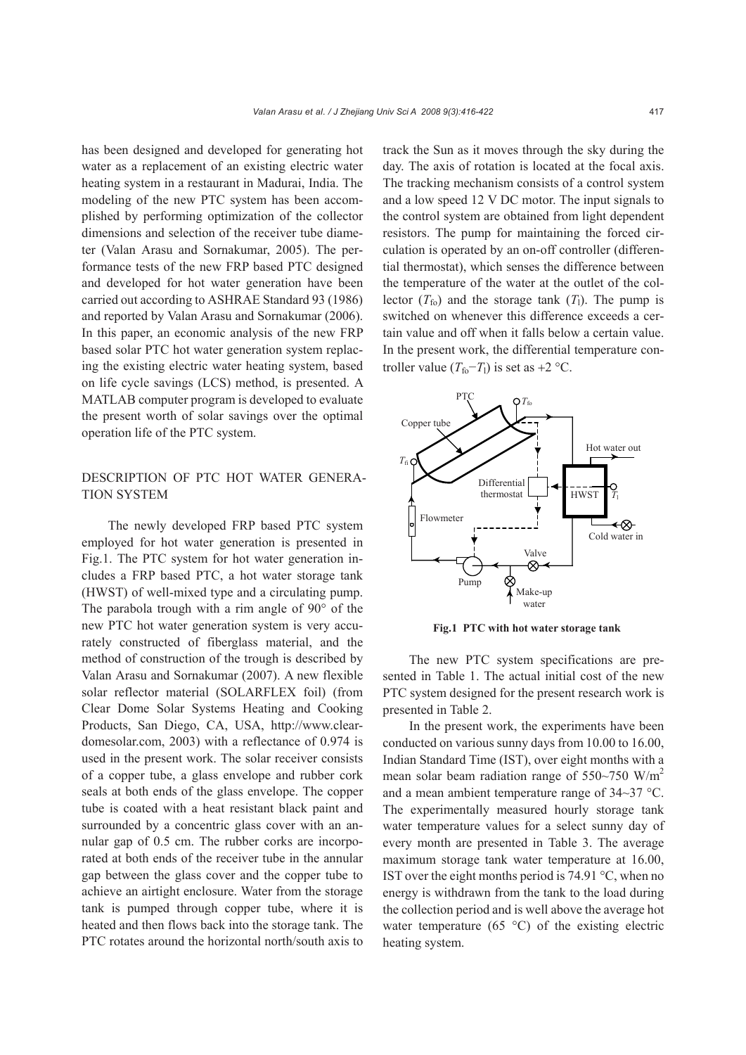has been designed and developed for generating hot water as a replacement of an existing electric water heating system in a restaurant in Madurai, India. The modeling of the new PTC system has been accomplished by performing optimization of the collector dimensions and selection of the receiver tube diameter (Valan Arasu and Sornakumar, 2005). The performance tests of the new FRP based PTC designed and developed for hot water generation have been carried out according to ASHRAE Standard 93 (1986) and reported by Valan Arasu and Sornakumar (2006). In this paper, an economic analysis of the new FRP based solar PTC hot water generation system replacing the existing electric water heating system, based on life cycle savings (LCS) method, is presented. A MATLAB computer program is developed to evaluate the present worth of solar savings over the optimal operation life of the PTC system.

# DESCRIPTION OF PTC HOT WATER GENERA-TION SYSTEM

The newly developed FRP based PTC system employed for hot water generation is presented in Fig.1. The PTC system for hot water generation includes a FRP based PTC, a hot water storage tank (HWST) of well-mixed type and a circulating pump. The parabola trough with a rim angle of 90° of the new PTC hot water generation system is very accurately constructed of fiberglass material, and the method of construction of the trough is described by Valan Arasu and Sornakumar (2007). A new flexible solar reflector material (SOLARFLEX foil) (from Clear Dome Solar Systems Heating and Cooking Products, San Diego, CA, USA, http://www.cleardomesolar.com, 2003) with a reflectance of 0.974 is used in the present work. The solar receiver consists of a copper tube, a glass envelope and rubber cork seals at both ends of the glass envelope. The copper tube is coated with a heat resistant black paint and surrounded by a concentric glass cover with an annular gap of 0.5 cm. The rubber corks are incorporated at both ends of the receiver tube in the annular gap between the glass cover and the copper tube to achieve an airtight enclosure. Water from the storage tank is pumped through copper tube, where it is heated and then flows back into the storage tank. The PTC rotates around the horizontal north/south axis to

track the Sun as it moves through the sky during the day. The axis of rotation is located at the focal axis. The tracking mechanism consists of a control system and a low speed 12 V DC motor. The input signals to the control system are obtained from light dependent resistors. The pump for maintaining the forced circulation is operated by an on-off controller (differential thermostat), which senses the difference between the temperature of the water at the outlet of the collector  $(T_{\text{fo}})$  and the storage tank  $(T_1)$ . The pump is switched on whenever this difference exceeds a certain value and off when it falls below a certain value. In the present work, the differential temperature controller value ( $T_{\text{fo}}$ − $T_1$ ) is set as +2 °C.



**Fig.1 PTC with hot water storage tank** 

The new PTC system specifications are presented in Table 1. The actual initial cost of the new PTC system designed for the present research work is presented in Table 2.

In the present work, the experiments have been conducted on various sunny days from 10.00 to 16.00, Indian Standard Time (IST), over eight months with a mean solar beam radiation range of  $550~\text{m/s}$ and a mean ambient temperature range of 34~37 °C. The experimentally measured hourly storage tank water temperature values for a select sunny day of every month are presented in Table 3. The average maximum storage tank water temperature at 16.00, IST over the eight months period is 74.91 °C, when no energy is withdrawn from the tank to the load during the collection period and is well above the average hot water temperature (65 $\degree$ C) of the existing electric heating system.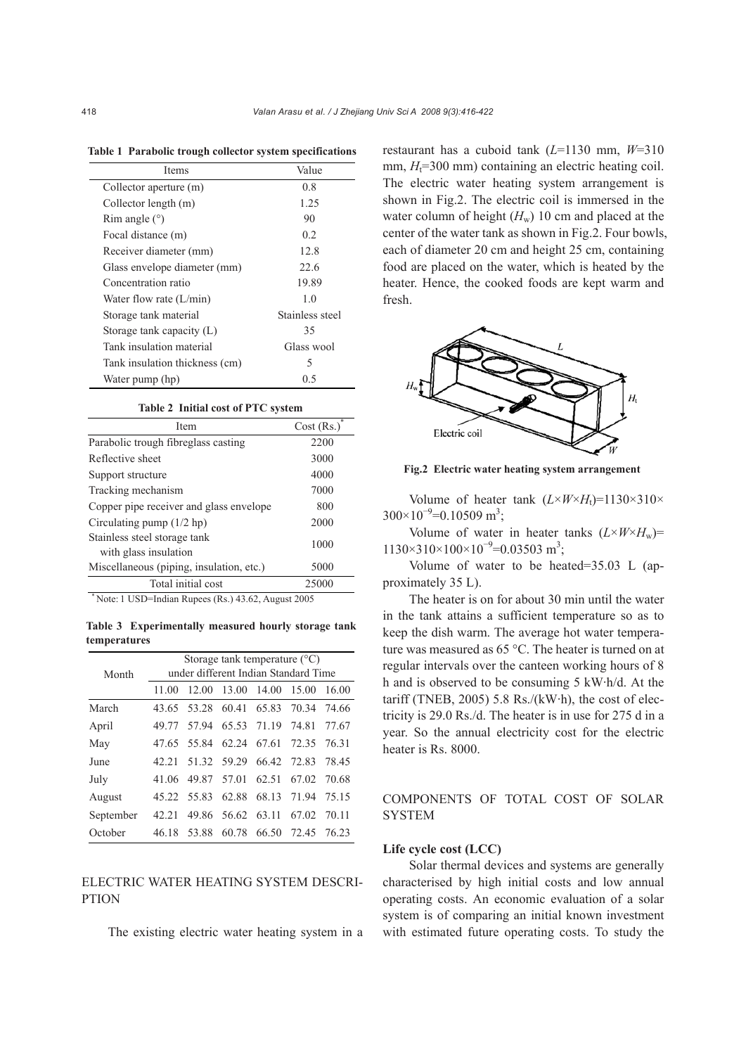| <b>Items</b>                   | Value           |  |  |
|--------------------------------|-----------------|--|--|
| Collector aperture (m)         | 0.8             |  |  |
| Collector length (m)           | 1.25            |  |  |
| Rim angle $(°)$                | 90              |  |  |
| Focal distance (m)             | 02              |  |  |
| Receiver diameter (mm)         | 12.8            |  |  |
| Glass envelope diameter (mm)   | 22.6            |  |  |
| Concentration ratio            | 19.89           |  |  |
| Water flow rate $(L/min)$      | 1 <sub>0</sub>  |  |  |
| Storage tank material          | Stainless steel |  |  |
| Storage tank capacity (L)      | 35              |  |  |
| Tank insulation material       | Glass wool      |  |  |
| Tank insulation thickness (cm) | 5               |  |  |
| Water pump (hp)                | 0.5             |  |  |

**Table 1 Parabolic trough collector system specifications**

#### **Table 2 Initial cost of PTC system**

| Item                                                  | Cost (Rs.) |  |
|-------------------------------------------------------|------------|--|
| Parabolic trough fibreglass casting                   | 2200       |  |
| Reflective sheet                                      | 3000       |  |
| Support structure                                     | 4000       |  |
| Tracking mechanism                                    | 7000       |  |
| Copper pipe receiver and glass envelope               | 800        |  |
| Circulating pump $(1/2$ hp)                           | 2000       |  |
| Stainless steel storage tank<br>with glass insulation | 1000       |  |
| Miscellaneous (piping, insulation, etc.)              | 5000       |  |
| Total initial cost                                    | 25000      |  |

 $Note: 1$  USD=Indian Rupees (Rs.) 43.62, August 2005

**Table 3 Experimentally measured hourly storage tank temperatures** 

|           | Storage tank temperature $(^{\circ}C)$ |  |                                     |  |             |         |  |
|-----------|----------------------------------------|--|-------------------------------------|--|-------------|---------|--|
| Month     | under different Indian Standard Time   |  |                                     |  |             |         |  |
|           | 11.00                                  |  | 12.00 13.00 14.00 15.00             |  |             | 16.00   |  |
| March     |                                        |  | 43.65 53.28 60.41 65.83 70.34       |  |             | - 74.66 |  |
| April     |                                        |  | 49.77 57.94 65.53 71.19 74.81 77.67 |  |             |         |  |
| May       |                                        |  | 47.65 55.84 62.24 67.61 72.35 76.31 |  |             |         |  |
| June      | 42.21                                  |  | 51.32 59.29 66.42 72.83 78.45       |  |             |         |  |
| July      |                                        |  | 41.06 49.87 57.01 62.51 67.02 70.68 |  |             |         |  |
| August    |                                        |  | 45.22 55.83 62.88 68.13             |  | 71.94       | 75.15   |  |
| September | 42.21                                  |  | 49.86 56.62 63.11                   |  | 67.02 70.11 |         |  |
| October   | 46.18                                  |  | 53.88 60.78 66.50                   |  | 72.45 76.23 |         |  |

## ELECTRIC WATER HEATING SYSTEM DESCRI-PTION

The existing electric water heating system in a

restaurant has a cuboid tank (*L*=1130 mm, *W*=310 mm,  $H<sub>t</sub>=300$  mm) containing an electric heating coil. The electric water heating system arrangement is shown in Fig.2. The electric coil is immersed in the water column of height  $(H_w)$  10 cm and placed at the center of the water tank as shown in Fig.2. Four bowls, each of diameter 20 cm and height 25 cm, containing food are placed on the water, which is heated by the heater. Hence, the cooked foods are kept warm and fresh.



**Fig.2 Electric water heating system arrangement**

Volume of heater tank  $(L \times W \times H_t) = 1130 \times 310 \times$  $300\times10^{-9}$ =0.10509 m<sup>3</sup>;

Volume of water in heater tanks  $(L \times W \times H_w)$ =  $1130\times310\times100\times10^{-9} = 0.03503$  m<sup>3</sup>;

Volume of water to be heated=35.03 L (approximately 35 L).

The heater is on for about 30 min until the water in the tank attains a sufficient temperature so as to keep the dish warm. The average hot water temperature was measured as 65 °C. The heater is turned on at regular intervals over the canteen working hours of 8 h and is observed to be consuming 5 kW·h/d. At the tariff (TNEB, 2005) 5.8 Rs./( $kW$ ·h), the cost of electricity is 29.0 Rs./d. The heater is in use for 275 d in a year. So the annual electricity cost for the electric heater is Rs. 8000.

COMPONENTS OF TOTAL COST OF SOLAR SYSTEM

## **Life cycle cost (LCC)**

Solar thermal devices and systems are generally characterised by high initial costs and low annual operating costs. An economic evaluation of a solar system is of comparing an initial known investment with estimated future operating costs. To study the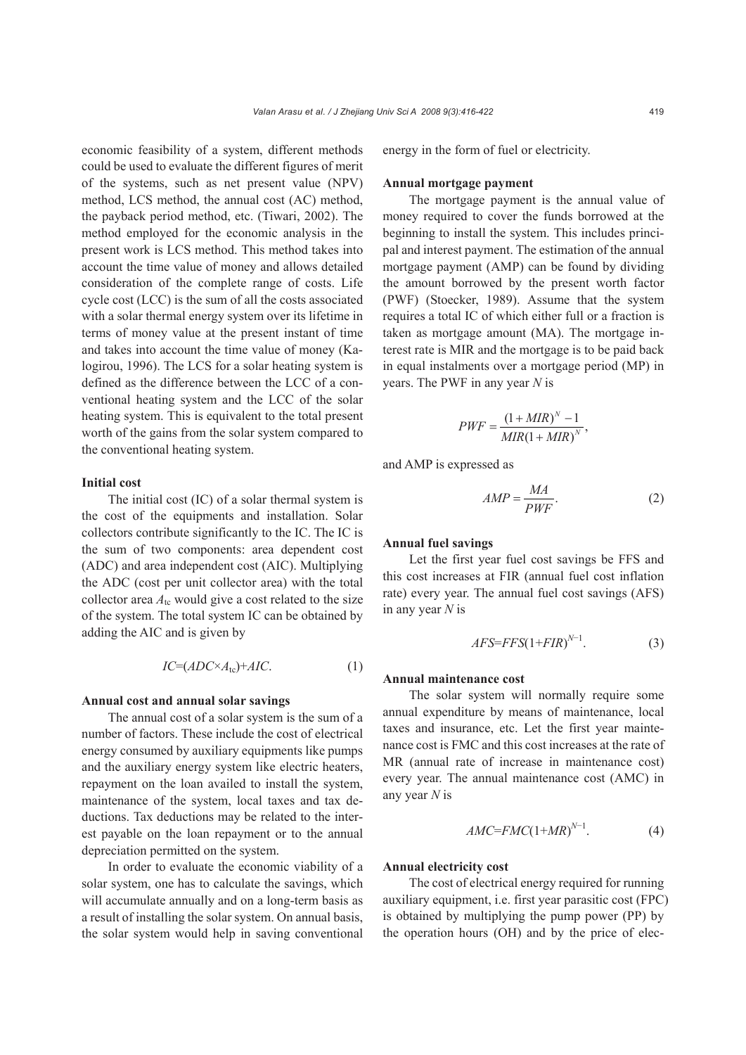economic feasibility of a system, different methods could be used to evaluate the different figures of merit of the systems, such as net present value (NPV) method, LCS method, the annual cost (AC) method, the payback period method, etc. (Tiwari, 2002). The method employed for the economic analysis in the present work is LCS method. This method takes into account the time value of money and allows detailed consideration of the complete range of costs. Life cycle cost (LCC) is the sum of all the costs associated with a solar thermal energy system over its lifetime in terms of money value at the present instant of time and takes into account the time value of money (Kalogirou, 1996). The LCS for a solar heating system is defined as the difference between the LCC of a conventional heating system and the LCC of the solar heating system. This is equivalent to the total present worth of the gains from the solar system compared to the conventional heating system.

## **Initial cost**

The initial cost (IC) of a solar thermal system is the cost of the equipments and installation. Solar collectors contribute significantly to the IC. The IC is the sum of two components: area dependent cost (ADC) and area independent cost (AIC). Multiplying the ADC (cost per unit collector area) with the total collector area  $A_{\text{tc}}$  would give a cost related to the size of the system. The total system IC can be obtained by adding the AIC and is given by

$$
IC=(ADC \times A_{\text{tc}}) + AIC. \tag{1}
$$

## **Annual cost and annual solar savings**

The annual cost of a solar system is the sum of a number of factors. These include the cost of electrical energy consumed by auxiliary equipments like pumps and the auxiliary energy system like electric heaters, repayment on the loan availed to install the system, maintenance of the system, local taxes and tax deductions. Tax deductions may be related to the interest payable on the loan repayment or to the annual depreciation permitted on the system.

In order to evaluate the economic viability of a solar system, one has to calculate the savings, which will accumulate annually and on a long-term basis as a result of installing the solar system. On annual basis, the solar system would help in saving conventional energy in the form of fuel or electricity.

## **Annual mortgage payment**

The mortgage payment is the annual value of money required to cover the funds borrowed at the beginning to install the system. This includes principal and interest payment. The estimation of the annual mortgage payment (AMP) can be found by dividing the amount borrowed by the present worth factor (PWF) (Stoecker, 1989). Assume that the system requires a total IC of which either full or a fraction is taken as mortgage amount (MA). The mortgage interest rate is MIR and the mortgage is to be paid back in equal instalments over a mortgage period (MP) in years. The PWF in any year *N* is

$$
PWF = \frac{(1 + MIR)^{N} - 1}{MIR(1 + MIR)^{N}},
$$

and AMP is expressed as

$$
AMP = \frac{MA}{PWF}.
$$
 (2)

## **Annual fuel savings**

Let the first year fuel cost savings be FFS and this cost increases at FIR (annual fuel cost inflation rate) every year. The annual fuel cost savings (AFS) in any year *N* is

$$
AFS = FFS(1 + FIR)^{N-1}.
$$
 (3)

#### **Annual maintenance cost**

The solar system will normally require some annual expenditure by means of maintenance, local taxes and insurance, etc. Let the first year maintenance cost is FMC and this cost increases at the rate of MR (annual rate of increase in maintenance cost) every year. The annual maintenance cost (AMC) in any year *N* is

$$
AMC=FMC(1+MR)^{N-1}.
$$
 (4)

#### **Annual electricity cost**

The cost of electrical energy required for running auxiliary equipment, i.e. first year parasitic cost (FPC) is obtained by multiplying the pump power (PP) by the operation hours (OH) and by the price of elec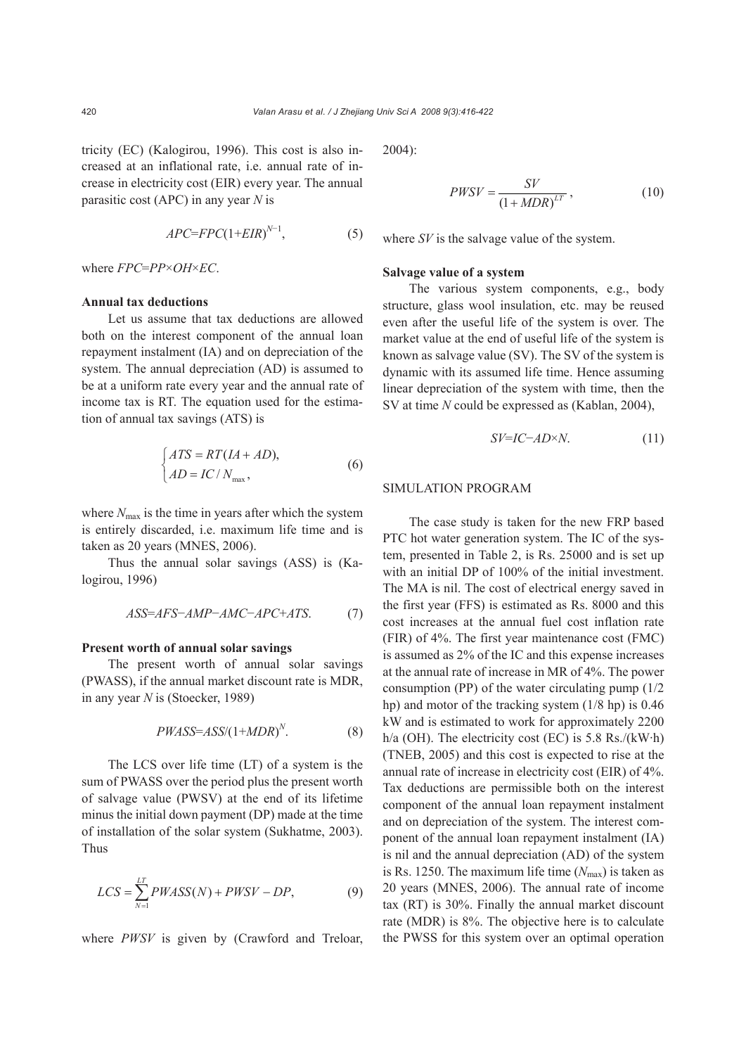tricity (EC) (Kalogirou, 1996). This cost is also increased at an inflational rate, i.e. annual rate of increase in electricity cost (EIR) every year. The annual parasitic cost (APC) in any year *N* is

$$
APC = FPC(1 + EIR)^{N-1},\tag{5}
$$

where *FPC*=*PP*×*OH*×*EC*.

#### **Annual tax deductions**

Let us assume that tax deductions are allowed both on the interest component of the annual loan repayment instalment (IA) and on depreciation of the system. The annual depreciation (AD) is assumed to be at a uniform rate every year and the annual rate of income tax is RT. The equation used for the estimation of annual tax savings (ATS) is

$$
\begin{cases}\nATS = RT(IA + AD), \\
AD = IC/N_{\text{max}},\n\end{cases} \tag{6}
$$

where  $N_{\text{max}}$  is the time in years after which the system is entirely discarded, i.e. maximum life time and is taken as 20 years (MNES, 2006).

Thus the annual solar savings (ASS) is (Kalogirou, 1996)

$$
ASS=AFS-AMP-AMC-APC+ATS.
$$
 (7)

#### **Present worth of annual solar savings**

The present worth of annual solar savings (PWASS), if the annual market discount rate is MDR, in any year *N* is (Stoecker, 1989)

$$
PWASS=ASS/(1+MDR)^{N}.
$$
 (8)

The LCS over life time (LT) of a system is the sum of PWASS over the period plus the present worth of salvage value (PWSV) at the end of its lifetime minus the initial down payment (DP) made at the time of installation of the solar system (Sukhatme, 2003). Thus

$$
LCS = \sum_{N=1}^{LT} PWASS(N) + PWSV - DP,\tag{9}
$$

where *PWSV* is given by (Crawford and Treloar,

2004):

$$
PWSV = \frac{SV}{\left(1 + MDR\right)^{LT}},\tag{10}
$$

where *SV* is the salvage value of the system.

#### **Salvage value of a system**

The various system components, e.g., body structure, glass wool insulation, etc. may be reused even after the useful life of the system is over. The market value at the end of useful life of the system is known as salvage value (SV). The SV of the system is dynamic with its assumed life time. Hence assuming linear depreciation of the system with time, then the SV at time *N* could be expressed as (Kablan, 2004),

$$
SV=IC-AD\times N.\tag{11}
$$

### SIMULATION PROGRAM

The case study is taken for the new FRP based PTC hot water generation system. The IC of the system, presented in Table 2, is Rs. 25000 and is set up with an initial DP of 100% of the initial investment. The MA is nil. The cost of electrical energy saved in the first year (FFS) is estimated as Rs. 8000 and this cost increases at the annual fuel cost inflation rate (FIR) of 4%. The first year maintenance cost (FMC) is assumed as 2% of the IC and this expense increases at the annual rate of increase in MR of 4%. The power consumption (PP) of the water circulating pump (1/2 hp) and motor of the tracking system (1/8 hp) is 0.46 kW and is estimated to work for approximately 2200 h/a (OH). The electricity cost (EC) is 5.8 Rs./(kW·h) (TNEB, 2005) and this cost is expected to rise at the annual rate of increase in electricity cost (EIR) of 4%. Tax deductions are permissible both on the interest component of the annual loan repayment instalment and on depreciation of the system. The interest component of the annual loan repayment instalment (IA) is nil and the annual depreciation (AD) of the system is Rs. 1250. The maximum life time  $(N_{\text{max}})$  is taken as 20 years (MNES, 2006). The annual rate of income tax (RT) is 30%. Finally the annual market discount rate (MDR) is 8%. The objective here is to calculate the PWSS for this system over an optimal operation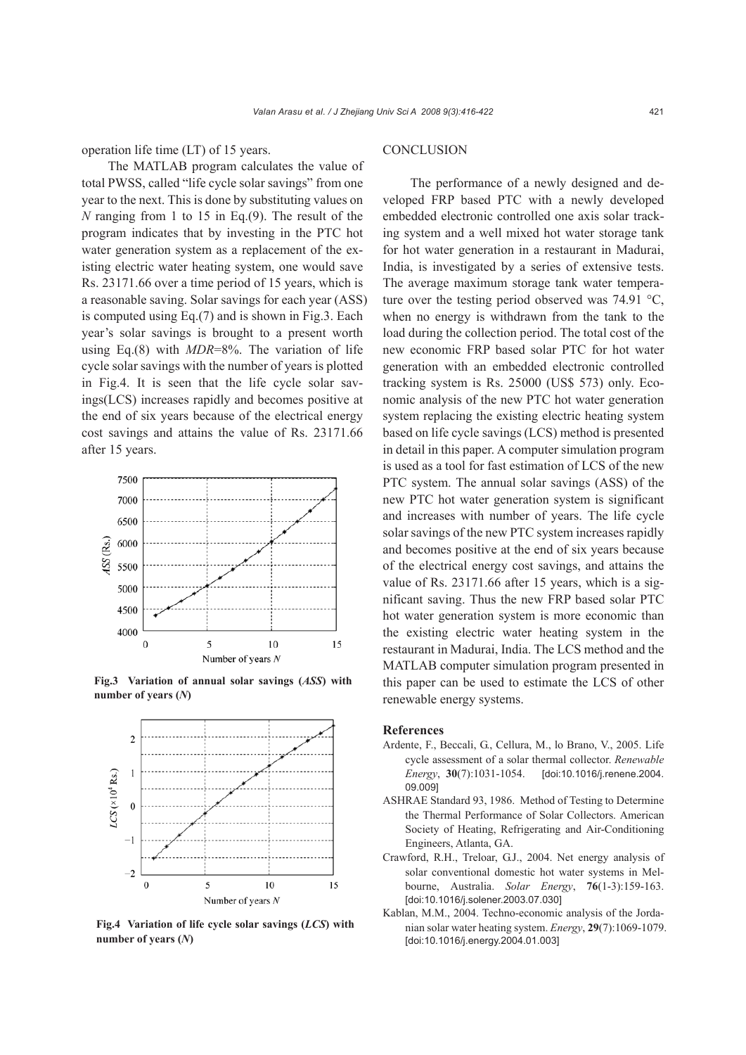operation life time (LT) of 15 years.

The MATLAB program calculates the value of total PWSS, called "life cycle solar savings" from one year to the next. This is done by substituting values on *N* ranging from 1 to 15 in Eq.(9). The result of the program indicates that by investing in the PTC hot water generation system as a replacement of the existing electric water heating system, one would save Rs. 23171.66 over a time period of 15 years, which is a reasonable saving. Solar savings for each year (ASS) is computed using Eq.(7) and is shown in Fig.3. Each year's solar savings is brought to a present worth using Eq.(8) with *MDR*=8%. The variation of life cycle solar savings with the number of years is plotted in Fig.4. It is seen that the life cycle solar savings(LCS) increases rapidly and becomes positive at the end of six years because of the electrical energy cost savings and attains the value of Rs. 23171.66 after 15 years.



**Fig.3 Variation of annual solar savings (***ASS***) with number of years (***N***)** 



**Fig.4 Variation of life cycle solar savings (***LCS***) with number of years (***N***)** 

# **CONCLUSION**

The performance of a newly designed and developed FRP based PTC with a newly developed embedded electronic controlled one axis solar tracking system and a well mixed hot water storage tank for hot water generation in a restaurant in Madurai, India, is investigated by a series of extensive tests. The average maximum storage tank water temperature over the testing period observed was 74.91 °C, when no energy is withdrawn from the tank to the load during the collection period. The total cost of the new economic FRP based solar PTC for hot water generation with an embedded electronic controlled tracking system is Rs. 25000 (US\$ 573) only. Economic analysis of the new PTC hot water generation system replacing the existing electric heating system based on life cycle savings (LCS) method is presented in detail in this paper. A computer simulation program is used as a tool for fast estimation of LCS of the new PTC system. The annual solar savings (ASS) of the new PTC hot water generation system is significant and increases with number of years. The life cycle solar savings of the new PTC system increases rapidly and becomes positive at the end of six years because of the electrical energy cost savings, and attains the value of Rs. 23171.66 after 15 years, which is a significant saving. Thus the new FRP based solar PTC hot water generation system is more economic than the existing electric water heating system in the restaurant in Madurai, India. The LCS method and the MATLAB computer simulation program presented in this paper can be used to estimate the LCS of other renewable energy systems.

#### **References**

- Ardente, F., Beccali, G., Cellura, M., lo Brano, V., 2005. Life cycle assessment of a solar thermal collector. *Renewable Energy*, **30**(7):1031-1054. [doi:10.1016/j.renene.2004. 09.009]
- ASHRAE Standard 93, 1986. Method of Testing to Determine the Thermal Performance of Solar Collectors. American Society of Heating, Refrigerating and Air-Conditioning Engineers, Atlanta, GA.
- Crawford, R.H., Treloar, G.J., 2004. Net energy analysis of solar conventional domestic hot water systems in Melbourne, Australia. *Solar Energy*, **76**(1-3):159-163. [doi:10.1016/j.solener.2003.07.030]
- Kablan, M.M., 2004. Techno-economic analysis of the Jordanian solar water heating system. *Energy*, **29**(7):1069-1079. [doi:10.1016/j.energy.2004.01.003]